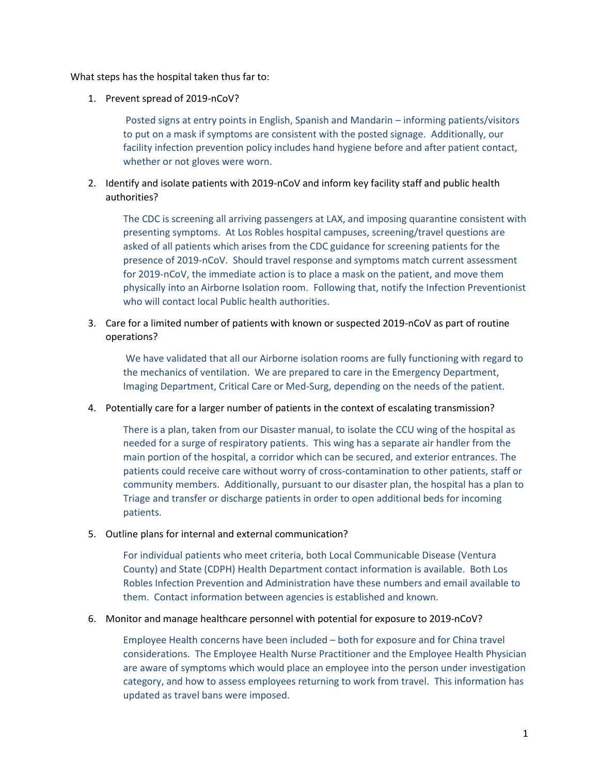What steps has the hospital taken thus far to:

1. Prevent spread of 2019-nCoV?

Posted signs at entry points in English, Spanish and Mandarin – informing patients/visitors to put on a mask if symptoms are consistent with the posted signage. Additionally, our facility infection prevention policy includes hand hygiene before and after patient contact, whether or not gloves were worn.

2. Identify and isolate patients with 2019-nCoV and inform key facility staff and public health authorities?

The CDC is screening all arriving passengers at LAX, and imposing quarantine consistent with presenting symptoms. At Los Robles hospital campuses, screening/travel questions are asked of all patients which arises from the CDC guidance for screening patients for the presence of 2019-nCoV. Should travel response and symptoms match current assessment for 2019-nCoV, the immediate action is to place a mask on the patient, and move them physically into an Airborne Isolation room. Following that, notify the Infection Preventionist who will contact local Public health authorities.

3. Care for a limited number of patients with known or suspected 2019-nCoV as part of routine operations?

We have validated that all our Airborne isolation rooms are fully functioning with regard to the mechanics of ventilation. We are prepared to care in the Emergency Department, Imaging Department, Critical Care or Med-Surg, depending on the needs of the patient.

4. Potentially care for a larger number of patients in the context of escalating transmission?

There is a plan, taken from our Disaster manual, to isolate the CCU wing of the hospital as needed for a surge of respiratory patients. This wing has a separate air handler from the main portion of the hospital, a corridor which can be secured, and exterior entrances. The patients could receive care without worry of cross-contamination to other patients, staff or community members. Additionally, pursuant to our disaster plan, the hospital has a plan to Triage and transfer or discharge patients in order to open additional beds for incoming patients.

5. Outline plans for internal and external communication?

For individual patients who meet criteria, both Local Communicable Disease (Ventura County) and State (CDPH) Health Department contact information is available. Both Los Robles Infection Prevention and Administration have these numbers and email available to them. Contact information between agencies is established and known.

6. Monitor and manage healthcare personnel with potential for exposure to 2019-nCoV?

Employee Health concerns have been included – both for exposure and for China travel considerations. The Employee Health Nurse Practitioner and the Employee Health Physician are aware of symptoms which would place an employee into the person under investigation category, and how to assess employees returning to work from travel. This information has updated as travel bans were imposed.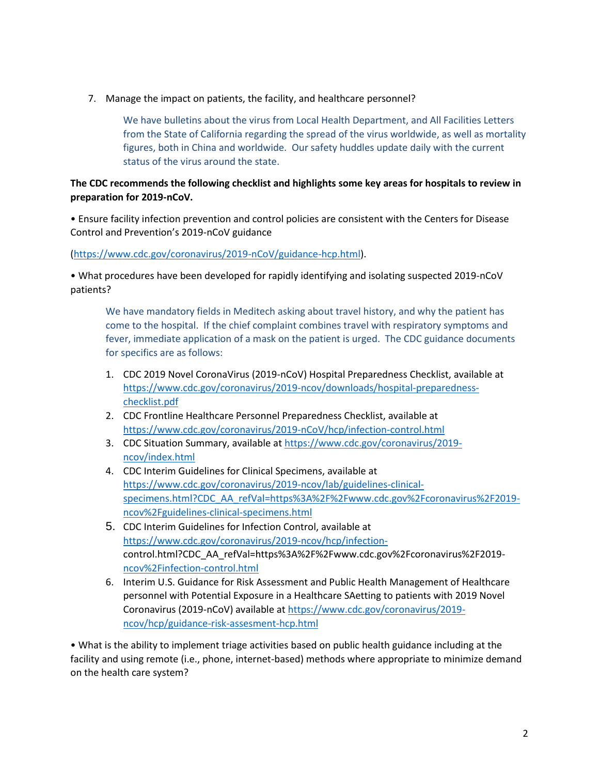7. Manage the impact on patients, the facility, and healthcare personnel?

We have bulletins about the virus from Local Health Department, and All Facilities Letters from the State of California regarding the spread of the virus worldwide, as well as mortality figures, both in China and worldwide. Our safety huddles update daily with the current status of the virus around the state.

## **The CDC recommends the following checklist and highlights some key areas for hospitals to review in preparation for 2019-nCoV.**

• Ensure facility infection prevention and control policies are consistent with the Centers for Disease Control and Prevention's 2019-nCoV guidance

[\(https://www.cdc.gov/coronavirus/2019-nCoV/guidance-hcp.html\)](https://www.cdc.gov/coronavirus/2019-nCoV/guidance-hcp.html).

• What procedures have been developed for rapidly identifying and isolating suspected 2019-nCoV patients?

We have mandatory fields in Meditech asking about travel history, and why the patient has come to the hospital. If the chief complaint combines travel with respiratory symptoms and fever, immediate application of a mask on the patient is urged. The CDC guidance documents for specifics are as follows:

- 1. CDC 2019 Novel CoronaVirus (2019-nCoV) Hospital Preparedness Checklist, available at [https://www.cdc.gov/coronavirus/2019-ncov/downloads/hospital-preparedness](https://protect-us.mimecast.com/s/3t_oCxkonocG7DNI8q3mM?domain=cdc.gov)[checklist.pdf](https://protect-us.mimecast.com/s/3t_oCxkonocG7DNI8q3mM?domain=cdc.gov)
- 2. CDC Frontline Healthcare Personnel Preparedness Checklist, available at [https://www.cdc.gov/coronavirus/2019-nCoV/hcp/infection-control.html](https://protect-us.mimecast.com/s/MIV5CyPpopIj8KVhMZIRf?domain=cdc.gov)
- 3. CDC Situation Summary, available at [https://www.cdc.gov/coronavirus/2019](https://protect-us.mimecast.com/s/FlVaCzpqvqIPkEVfg4pRr?domain=cdc.gov) [ncov/index.html](https://protect-us.mimecast.com/s/FlVaCzpqvqIPkEVfg4pRr?domain=cdc.gov)
- 4. CDC Interim Guidelines for Clinical Specimens, available at [https://www.cdc.gov/coronavirus/2019-ncov/lab/guidelines-clinical](https://protect-us.mimecast.com/s/xAYeCAD8N8ImwBqTYTZ9Y?domain=cdc.gov)[specimens.html?CDC\\_AA\\_refVal=https%3A%2F%2Fwww.cdc.gov%2Fcoronavirus%2F2019](https://protect-us.mimecast.com/s/xAYeCAD8N8ImwBqTYTZ9Y?domain=cdc.gov) [ncov%2Fguidelines-clinical-specimens.html](https://protect-us.mimecast.com/s/xAYeCAD8N8ImwBqTYTZ9Y?domain=cdc.gov)
- 5. CDC Interim Guidelines for Infection Control, available at [https://www.cdc.gov/coronavirus/2019-ncov/hcp/infection](https://protect-us.mimecast.com/s/Ydh3CBB1N1TZw02sWGGMs?domain=cdc.gov)[control.html?CDC\\_AA\\_refVal=https%3A%2F%2Fwww.cdc.gov%2Fcoronavirus%2F2019](https://protect-us.mimecast.com/s/Ydh3CBB1N1TZw02sWGGMs?domain=cdc.gov) [ncov%2Finfection-control.html](https://protect-us.mimecast.com/s/Ydh3CBB1N1TZw02sWGGMs?domain=cdc.gov)
- 6. Interim U.S. Guidance for Risk Assessment and Public Health Management of Healthcare personnel with Potential Exposure in a Healthcare SAetting to patients with 2019 Novel Coronavirus (2019-nCoV) available at https://www.cdc.gov/coronavirus/2019 ncov/hcp/guidance-risk-assesment-hcp.html

• What is the ability to implement triage activities based on public health guidance including at the facility and using remote (i.e., phone, internet-based) methods where appropriate to minimize demand on the health care system?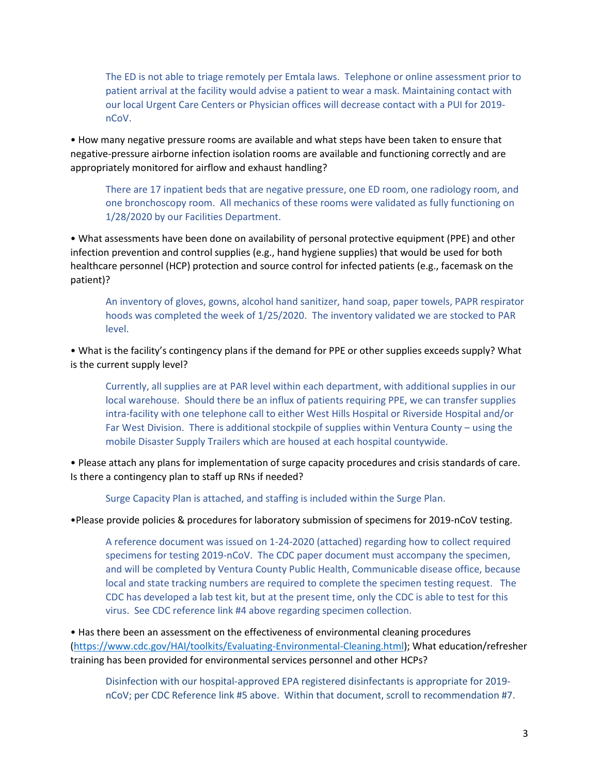The ED is not able to triage remotely per Emtala laws. Telephone or online assessment prior to patient arrival at the facility would advise a patient to wear a mask. Maintaining contact with our local Urgent Care Centers or Physician offices will decrease contact with a PUI for 2019 nCoV.

• How many negative pressure rooms are available and what steps have been taken to ensure that negative-pressure airborne infection isolation rooms are available and functioning correctly and are appropriately monitored for airflow and exhaust handling?

There are 17 inpatient beds that are negative pressure, one ED room, one radiology room, and one bronchoscopy room. All mechanics of these rooms were validated as fully functioning on 1/28/2020 by our Facilities Department.

• What assessments have been done on availability of personal protective equipment (PPE) and other infection prevention and control supplies (e.g., hand hygiene supplies) that would be used for both healthcare personnel (HCP) protection and source control for infected patients (e.g., facemask on the patient)?

An inventory of gloves, gowns, alcohol hand sanitizer, hand soap, paper towels, PAPR respirator hoods was completed the week of 1/25/2020. The inventory validated we are stocked to PAR level.

• What is the facility's contingency plans if the demand for PPE or other supplies exceeds supply? What is the current supply level?

Currently, all supplies are at PAR level within each department, with additional supplies in our local warehouse. Should there be an influx of patients requiring PPE, we can transfer supplies intra-facility with one telephone call to either West Hills Hospital or Riverside Hospital and/or Far West Division. There is additional stockpile of supplies within Ventura County – using the mobile Disaster Supply Trailers which are housed at each hospital countywide.

• Please attach any plans for implementation of surge capacity procedures and crisis standards of care. Is there a contingency plan to staff up RNs if needed?

Surge Capacity Plan is attached, and staffing is included within the Surge Plan.

•Please provide policies & procedures for laboratory submission of specimens for 2019-nCoV testing.

A reference document was issued on 1-24-2020 (attached) regarding how to collect required specimens for testing 2019-nCoV. The CDC paper document must accompany the specimen, and will be completed by Ventura County Public Health, Communicable disease office, because local and state tracking numbers are required to complete the specimen testing request. The CDC has developed a lab test kit, but at the present time, only the CDC is able to test for this virus. See CDC reference link #4 above regarding specimen collection.

• Has there been an assessment on the effectiveness of environmental cleaning procedures [\(https://www.cdc.gov/HAI/toolkits/Evaluating-Environmental-Cleaning.html\)](https://www.cdc.gov/HAI/toolkits/Evaluating-Environmental-Cleaning.html); What education/refresher training has been provided for environmental services personnel and other HCPs?

Disinfection with our hospital-approved EPA registered disinfectants is appropriate for 2019 nCoV; per CDC Reference link #5 above. Within that document, scroll to recommendation #7.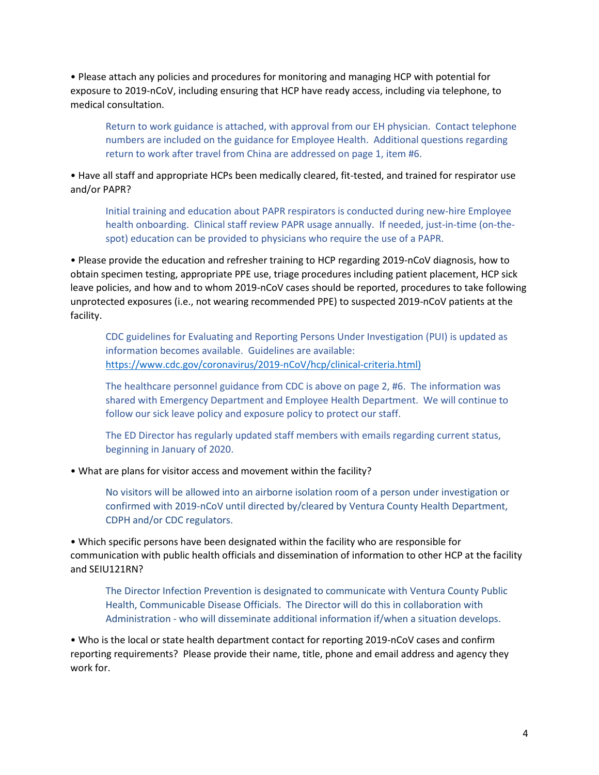• Please attach any policies and procedures for monitoring and managing HCP with potential for exposure to 2019-nCoV, including ensuring that HCP have ready access, including via telephone, to medical consultation.

Return to work guidance is attached, with approval from our EH physician. Contact telephone numbers are included on the guidance for Employee Health. Additional questions regarding return to work after travel from China are addressed on page 1, item #6.

• Have all staff and appropriate HCPs been medically cleared, fit-tested, and trained for respirator use and/or PAPR?

Initial training and education about PAPR respirators is conducted during new-hire Employee health onboarding. Clinical staff review PAPR usage annually. If needed, just-in-time (on-thespot) education can be provided to physicians who require the use of a PAPR.

• Please provide the education and refresher training to HCP regarding 2019-nCoV diagnosis, how to obtain specimen testing, appropriate PPE use, triage procedures including patient placement, HCP sick leave policies, and how and to whom 2019-nCoV cases should be reported, procedures to take following unprotected exposures (i.e., not wearing recommended PPE) to suspected 2019-nCoV patients at the facility.

CDC guidelines for Evaluating and Reporting Persons Under Investigation (PUI) is updated as information becomes available. Guidelines are available: https://www.cdc.gov/coronavirus/2019-nCoV/hcp/clinical-criteria.html)

The healthcare personnel guidance from CDC is above on page 2, #6. The information was shared with Emergency Department and Employee Health Department. We will continue to follow our sick leave policy and exposure policy to protect our staff.

The ED Director has regularly updated staff members with emails regarding current status, beginning in January of 2020.

• What are plans for visitor access and movement within the facility?

No visitors will be allowed into an airborne isolation room of a person under investigation or confirmed with 2019-nCoV until directed by/cleared by Ventura County Health Department, CDPH and/or CDC regulators.

• Which specific persons have been designated within the facility who are responsible for communication with public health officials and dissemination of information to other HCP at the facility and SEIU121RN?

The Director Infection Prevention is designated to communicate with Ventura County Public Health, Communicable Disease Officials. The Director will do this in collaboration with Administration - who will disseminate additional information if/when a situation develops.

• Who is the local or state health department contact for reporting 2019-nCoV cases and confirm reporting requirements? Please provide their name, title, phone and email address and agency they work for.